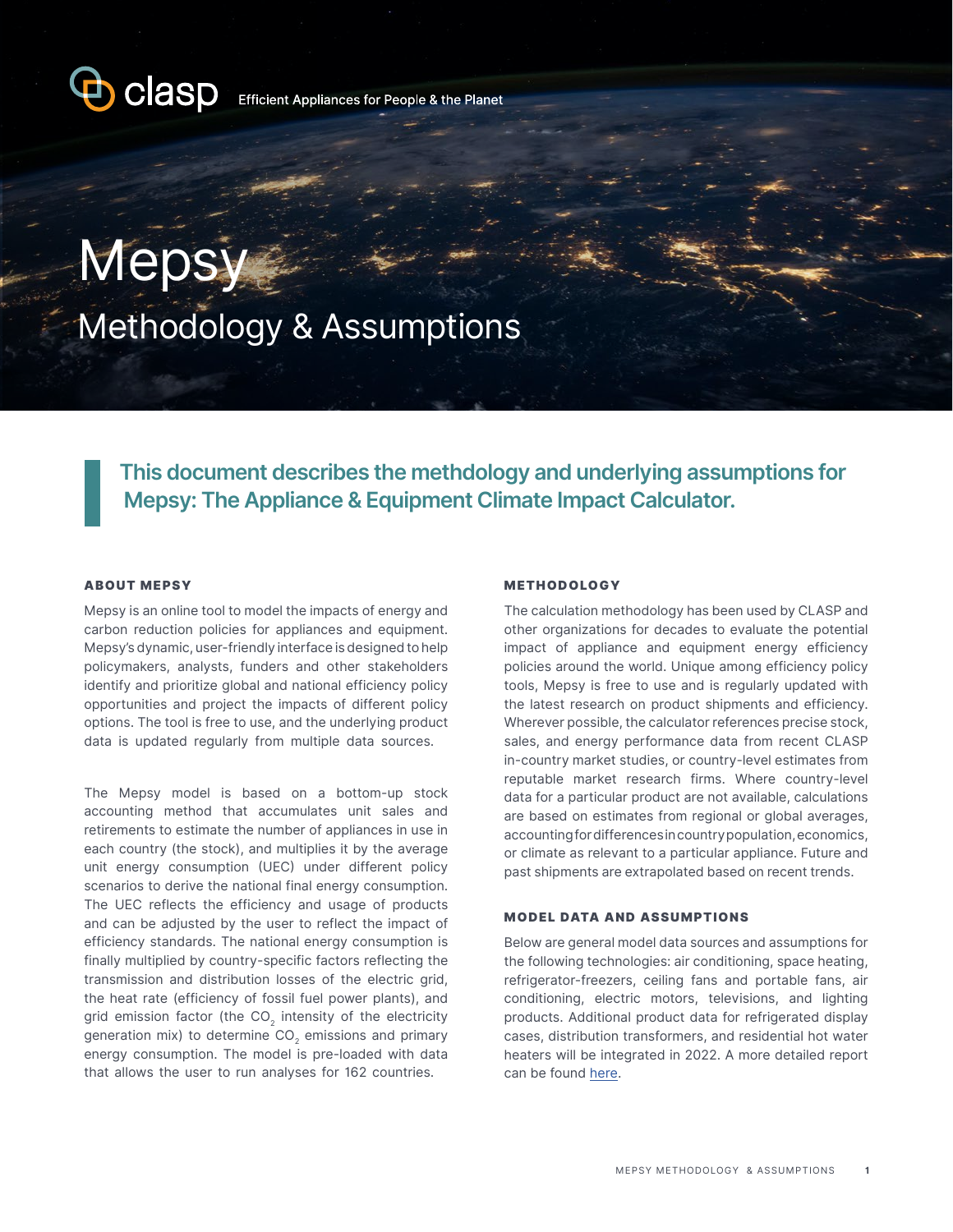

Efficient Appliances for People & the Planet

# **Mepsy** Methodology & Assumptions

**This document describes the methdology and underlying assumptions for Mepsy: The Appliance & Equipment Climate Impact Calculator.** 

#### ABOUT MEPSY

Mepsy is an online tool to model the impacts of energy and carbon reduction policies for appliances and equipment. Mepsy's dynamic, user-friendly interface is designed to help policymakers, analysts, funders and other stakeholders identify and prioritize global and national efficiency policy opportunities and project the impacts of different policy options. The tool is free to use, and the underlying product data is updated regularly from multiple data sources.

The Mepsy model is based on a bottom-up stock accounting method that accumulates unit sales and retirements to estimate the number of appliances in use in each country (the stock), and multiplies it by the average unit energy consumption (UEC) under different policy scenarios to derive the national final energy consumption. The UEC reflects the efficiency and usage of products and can be adjusted by the user to reflect the impact of efficiency standards. The national energy consumption is finally multiplied by country-specific factors reflecting the transmission and distribution losses of the electric grid, the heat rate (efficiency of fossil fuel power plants), and grid emission factor (the  $CO<sub>2</sub>$  intensity of the electricity generation mix) to determine  $CO<sub>2</sub>$  emissions and primary energy consumption. The model is pre-loaded with data that allows the user to run analyses for 162 countries.

#### METHODOLOGY

The calculation methodology has been used by CLASP and other organizations for decades to evaluate the potential impact of appliance and equipment energy efficiency policies around the world. Unique among efficiency policy tools, Mepsy is free to use and is regularly updated with the latest research on product shipments and efficiency. Wherever possible, the calculator references precise stock, sales, and energy performance data from recent CLASP in-country market studies, or country-level estimates from reputable market research firms. Where country-level data for a particular product are not available, calculations are based on estimates from regional or global averages, accounting for differences in country population, economics, or climate as relevant to a particular appliance. Future and past shipments are extrapolated based on recent trends.

#### MODEL DATA AND ASSUMPTIONS

Below are general model data sources and assumptions for the following technologies: air conditioning, space heating, refrigerator-freezers, ceiling fans and portable fans, air conditioning, electric motors, televisions, and lighting products. Additional product data for refrigerated display cases, distribution transformers, and residential hot water heaters will be integrated in 2022. A more detailed report can be found [here](https://www.clasp.ngo/tools/mepsy/mepsy-methodology-faq/).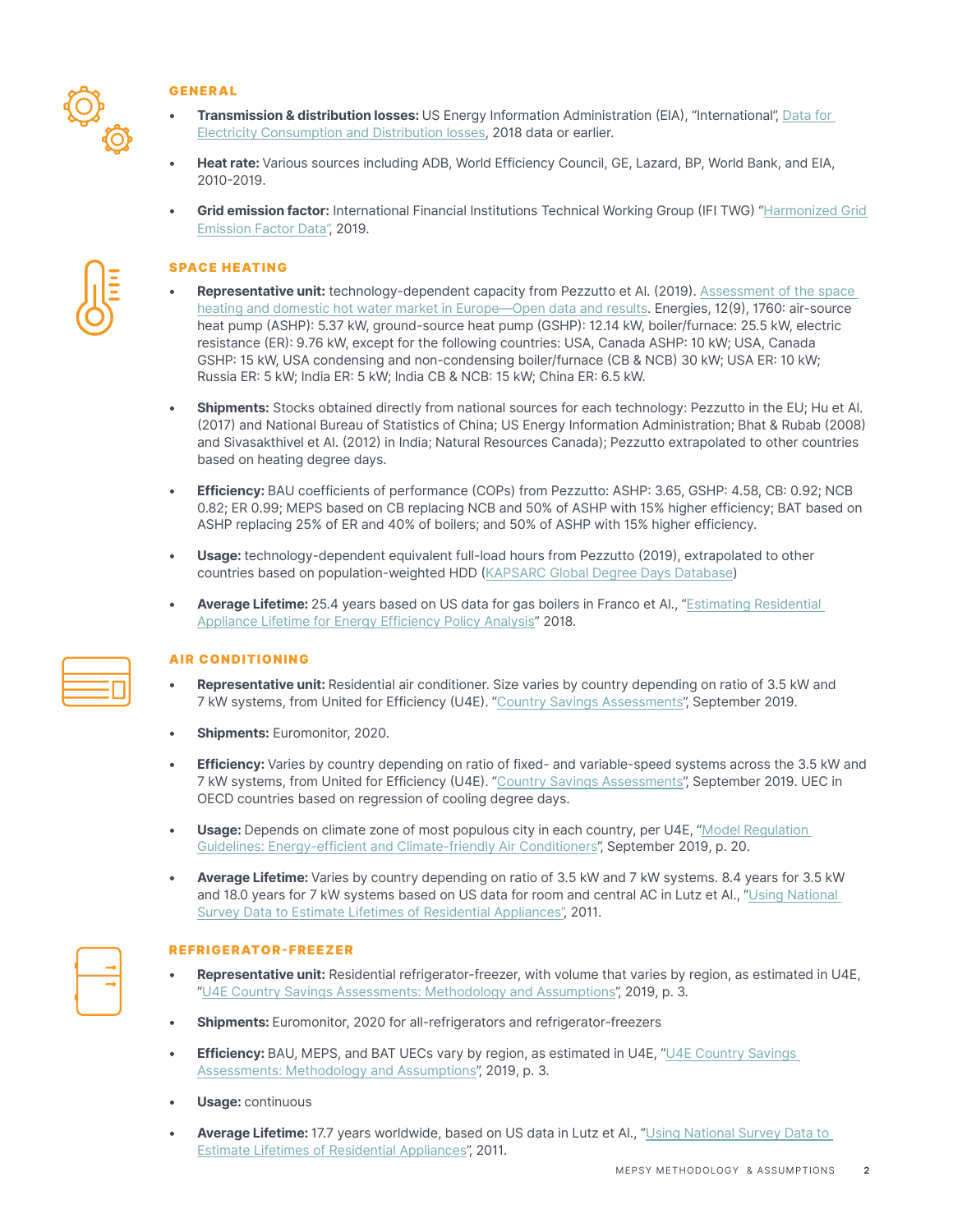

# GENERAL

- **• Transmission & distribution losses:** US Energy Information Administration (EIA), "International", [Data for](https://www.eia.gov/international/data/world/electricity/more-electricity-data?pd=2&p=000000200000000000000000004&u=0&f=A&v=mapbubble&a=-&i=none&vo=value&t=C&g=00000000000000000000000000000000000000000000000001&l=249-ruvvvvvfvtvnvv1vrvvvvfvvvvvvfvvvou20evvvvvvvvvvnvvvs0008&s=315532800000&e=1546300800000&)  [Electricity Consumption and Distribution losses,](https://www.eia.gov/international/data/world/electricity/more-electricity-data?pd=2&p=000000200000000000000000004&u=0&f=A&v=mapbubble&a=-&i=none&vo=value&t=C&g=00000000000000000000000000000000000000000000000001&l=249-ruvvvvvfvtvnvv1vrvvvvfvvvvvvfvvvou20evvvvvvvvvvnvvvs0008&s=315532800000&e=1546300800000&) 2018 data or earlier.
- **• Heat rate:** Various sources including ADB, World Efficiency Council, GE, Lazard, BP, World Bank, and EIA, 2010-2019.
- **• Grid emission factor:** International Financial Institutions Technical Working Group (IFI TWG) "[Harmonized Grid](https://unfccc.int/sites/default/files/resource/Harmonized_Grid_Emission_factor_data_set.xlsx)  [Emission Factor Data"](https://unfccc.int/sites/default/files/resource/Harmonized_Grid_Emission_factor_data_set.xlsx), 2019.

# SPACE HEATING

- **• Representative unit:** technology-dependent capacity from Pezzutto et Al. (2019). [Assessment of the space](https://www.mdpi.com/1996-1073/12/9/1760/pdf)  [heating and domestic hot water market in Europe—Open data and results](https://www.mdpi.com/1996-1073/12/9/1760/pdf). Energies, 12(9), 1760: air-source heat pump (ASHP): 5.37 kW, ground-source heat pump (GSHP): 12.14 kW, boiler/furnace: 25.5 kW, electric resistance (ER): 9.76 kW, except for the following countries: USA, Canada ASHP: 10 kW; USA, Canada GSHP: 15 kW, USA condensing and non-condensing boiler/furnace (CB & NCB) 30 kW; USA ER: 10 kW; Russia ER: 5 kW; India ER: 5 kW; India CB & NCB: 15 kW; China ER: 6.5 kW.
- **• Shipments:** Stocks obtained directly from national sources for each technology: Pezzutto in the EU; Hu et Al. (2017) and National Bureau of Statistics of China; US Energy Information Administration; Bhat & Rubab (2008) and Sivasakthivel et Al. (2012) in India; Natural Resources Canada); Pezzutto extrapolated to other countries based on heating degree days.
- **• Efficiency:** BAU coefficients of performance (COPs) from Pezzutto: ASHP: 3.65, GSHP: 4.58, CB: 0.92; NCB 0.82; ER 0.99; MEPS based on CB replacing NCB and 50% of ASHP with 15% higher efficiency; BAT based on ASHP replacing 25% of ER and 40% of boilers; and 50% of ASHP with 15% higher efficiency.
- **• Usage:** technology-dependent equivalent full-load hours from Pezzutto (2019), extrapolated to other countries based on population-weighted HDD [\(KAPSARC Global Degree Days Database](https://www.kapsarc.org/research/projects/global-degree-days-database/))
- **• Average Lifetime:** 25.4 years based on US data for gas boilers in Franco et Al., ["Estimating Residential](https://eta.lbl.gov/publications/estimating-residential-appliance)  [Appliance Lifetime for Energy Efficiency Policy Analysis"](https://eta.lbl.gov/publications/estimating-residential-appliance) 2018.

# AIR CONDITIONING

- **• Representative unit:** Residential air conditioner. Size varies by country depending on ratio of 3.5 kW and 7 kW systems, from United for Efficiency (U4E). ["Country Savings Assessments](https://united4efficiency.org/countries/country-assessments/)", September 2019.
- **• Shipments:** Euromonitor, 2020.
- **Efficiency:** Varies by country depending on ratio of fixed- and variable-speed systems across the 3.5 kW and 7 kW systems, from United for Efficiency (U4E). ["Country Savings Assessments](https://united4efficiency.org/countries/country-assessments/)", September 2019. UEC in OECD countries based on regression of cooling degree days.
- **Usage:** Depends on climate zone of most populous city in each country, per U4E, "Model Regulation [Guidelines: Energy-efficient and Climate-friendly Air Conditioners](https://united4efficiency.org/wp-content/uploads/2019/09/U4E_AC_Model-Regulation_20190923.pdf#page=29)", September 2019, p. 20.
- **• Average Lifetime:** Varies by country depending on ratio of 3.5 kW and 7 kW systems. 8.4 years for 3.5 kW and 18.0 years for 7 kW systems based on US data for room and central AC in Lutz et Al., ["Using National](https://www.osti.gov/biblio/1182737)  [Survey Data to Estimate Lifetimes of Residential Appliances"](https://www.osti.gov/biblio/1182737), 2011.

# REFRIGERATOR-FREEZER

- **• Representative unit:** Residential refrigerator-freezer, with volume that varies by region, as estimated in U4E, "[U4E Country Savings Assessments: Methodology and Assumptions"](https://united4efficiency.org/wp-content/uploads/2019/10/U4E-Country-Savings-Assessments-2019-Methodology-and-Assumptions.pdf), 2019, p. 3.
- **• Shipments:** Euromonitor, 2020 for all-refrigerators and refrigerator-freezers
- **Efficiency:** BAU, MEPS, and BAT UECs vary by region, as estimated in U4E, "U4E Country Savings [Assessments: Methodology and Assumptions](https://united4efficiency.org/wp-content/uploads/2019/10/U4E-Country-Savings-Assessments-2019-Methodology-and-Assumptions.pdf)", 2019, p. 3.
- **• Usage:** continuous
- **• Average Lifetime:** 17.7 years worldwide, based on US data in Lutz et Al., "[Using National Survey Data to](https://www.osti.gov/biblio/1182737)  [Estimate Lifetimes of Residential Appliances"](https://www.osti.gov/biblio/1182737), 2011.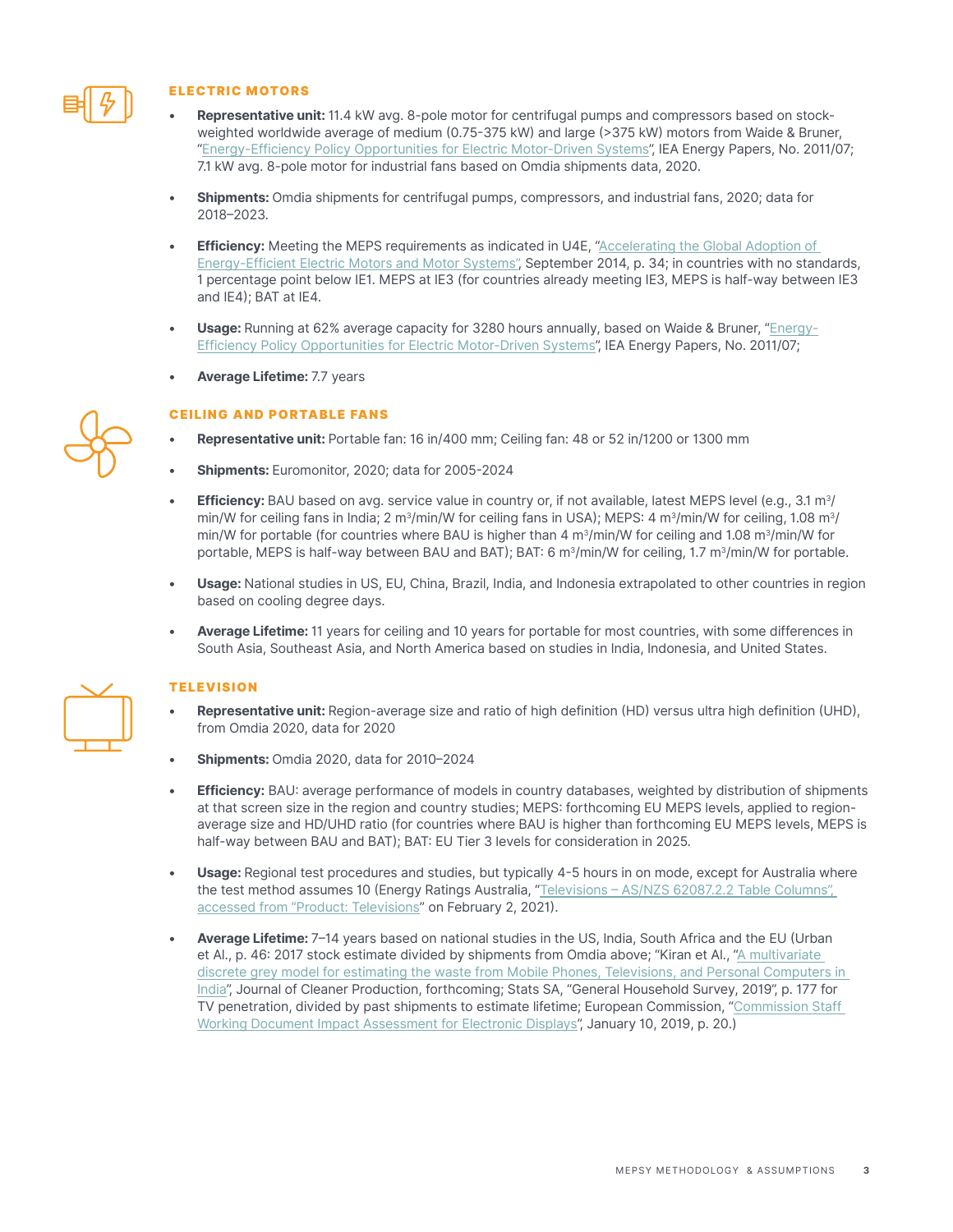

# ELECTRIC MOTORS

- **• Representative unit:** 11.4 kW avg. 8-pole motor for centrifugal pumps and compressors based on stockweighted worldwide average of medium (0.75-375 kW) and large (>375 kW) motors from Waide & Bruner, "[Energy-Efficiency Policy Opportunities for Electric Motor-Driven Systems](https://doi.org/10.1787/5kgg52gb9gjd-en)", IEA Energy Papers, No. 2011/07; 7.1 kW avg. 8-pole motor for industrial fans based on Omdia shipments data, 2020.
- **• Shipments:** Omdia shipments for centrifugal pumps, compressors, and industrial fans, 2020; data for 2018–2023.
- *Efficiency:* Meeting the MEPS requirements as indicated in U4E, "Accelerating the Global Adoption of [Energy-Efficient Electric Motors and Motor Systems",](https://united4efficiency.org/wp-content/uploads/2017/09/U4E-MotorGuide-201709-Final.pdf) September 2014, p. 34; in countries with no standards, 1 percentage point below IE1. MEPS at IE3 (for countries already meeting IE3, MEPS is half-way between IE3 and IE4); BAT at IE4.
- **• Usage:** Running at 62% average capacity for 3280 hours annually, based on Waide & Bruner, "[Energy-](https://doi.org/10.1787/5kgg52gb9gjd-en)[Efficiency Policy Opportunities for Electric Motor-Driven Systems"](https://doi.org/10.1787/5kgg52gb9gjd-en), IEA Energy Papers, No. 2011/07;
- **• Average Lifetime:** 7.7 years

# CEILING AND PORTABLE FANS

- **• Representative unit:** Portable fan: 16 in/400 mm; Ceiling fan: 48 or 52 in/1200 or 1300 mm
- **• Shipments:** Euromonitor, 2020; data for 2005-2024
- **Efficiency:** BAU based on avg. service value in country or, if not available, latest MEPS level (e.g., 3.1 m<sup>3</sup>/ min/W for ceiling fans in India; 2 m<sup>3</sup>/min/W for ceiling fans in USA); MEPS: 4 m<sup>3</sup>/min/W for ceiling, 1.08 m<sup>3</sup>/ min/W for portable (for countries where BAU is higher than 4  $m^3/m$ in/W for ceiling and 1.08  $m^3/m$ in/W for portable, MEPS is half-way between BAU and BAT); BAT: 6 m<sup>3</sup>/min/W for ceiling, 1.7 m<sup>3</sup>/min/W for portable.
- **• Usage:** National studies in US, EU, China, Brazil, India, and Indonesia extrapolated to other countries in region based on cooling degree days.
- **• Average Lifetime:** 11 years for ceiling and 10 years for portable for most countries, with some differences in South Asia, Southeast Asia, and North America based on studies in India, Indonesia, and United States.

# **TELEVISION**

- **• Representative unit:** Region-average size and ratio of high definition (HD) versus ultra high definition (UHD), from Omdia 2020, data for 2020
- **• Shipments:** Omdia 2020, data for 2010–2024
- **• Efficiency:** BAU: average performance of models in country databases, weighted by distribution of shipments at that screen size in the region and country studies; MEPS: forthcoming EU MEPS levels, applied to regionaverage size and HD/UHD ratio (for countries where BAU is higher than forthcoming EU MEPS levels, MEPS is half-way between BAU and BAT); BAT: EU Tier 3 levels for consideration in 2025.
- **• Usage:** Regional test procedures and studies, but typically 4-5 hours in on mode, except for Australia where the test method assumes 10 (Energy Ratings Australia, ["Televisions – AS/NZS 62087.2.2 Table Columns",](https://reg.energyrating.gov.au/comparator/product_types/32/search/?expired_products=on)  [accessed from "Product: Televisions"](https://reg.energyrating.gov.au/comparator/product_types/32/search/?expired_products=on) on February 2, 2021).
- **• Average Lifetime:** 7–14 years based on national studies in the US, India, South Africa and the EU (Urban et Al., p. 46: 2017 stock estimate divided by shipments from Omdia above; "Kiran et Al., ["A multivariate](https://www.sciencedirect.com/science/article/pii/S0959652621004054)  [discrete grey model for estimating the waste from Mobile Phones, Televisions, and Personal Computers in](https://www.sciencedirect.com/science/article/pii/S0959652621004054)  [India"](https://www.sciencedirect.com/science/article/pii/S0959652621004054), Journal of Cleaner Production, forthcoming; Stats SA, "General Household Survey, 2019", p. 177 for TV penetration, divided by past shipments to estimate lifetime; European Commission, ["Commission Staff](https://eur-lex.europa.eu/resource.html?uri=cellar:f9967b1f-e461-11e9-9c4e-01aa75ed71a1.0001.02/DOC_1&format=PDF)  [Working Document Impact Assessment for Electronic Displays](https://eur-lex.europa.eu/resource.html?uri=cellar:f9967b1f-e461-11e9-9c4e-01aa75ed71a1.0001.02/DOC_1&format=PDF)", January 10, 2019, p. 20.)